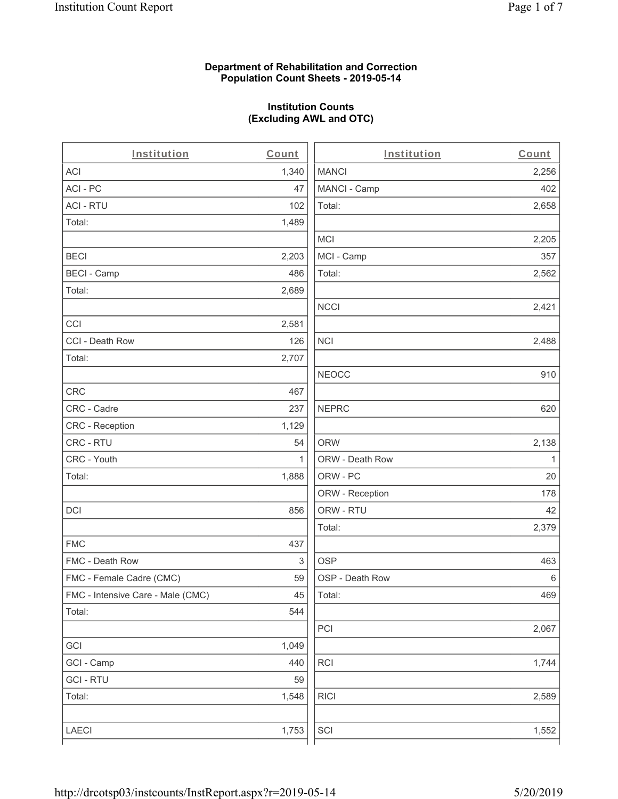# **Department of Rehabilitation and Correction Population Count Sheets - 2019-05-14**

# **Institution Counts (Excluding AWL and OTC)**

. .

| Institution                       | Count        | Institution     | Count        |
|-----------------------------------|--------------|-----------------|--------------|
| ACI                               | 1,340        | <b>MANCI</b>    | 2,256        |
| ACI-PC                            | 47           | MANCI - Camp    | 402          |
| <b>ACI - RTU</b>                  | 102          | Total:          | 2,658        |
| Total:                            | 1,489        |                 |              |
|                                   |              | <b>MCI</b>      | 2,205        |
| <b>BECI</b>                       | 2,203        | MCI - Camp      | 357          |
| <b>BECI - Camp</b>                | 486          | Total:          | 2,562        |
| Total:                            | 2,689        |                 |              |
|                                   |              | <b>NCCI</b>     | 2,421        |
| CCI                               | 2,581        |                 |              |
| CCI - Death Row                   | 126          | $\sf NCI$       | 2,488        |
| Total:                            | 2,707        |                 |              |
|                                   |              | <b>NEOCC</b>    | 910          |
| <b>CRC</b>                        | 467          |                 |              |
| CRC - Cadre                       | 237          | <b>NEPRC</b>    | 620          |
| CRC - Reception                   | 1,129        |                 |              |
| CRC - RTU                         | 54           | <b>ORW</b>      | 2,138        |
| CRC - Youth                       | $\mathbf{1}$ | ORW - Death Row | $\mathbf{1}$ |
| Total:                            | 1,888        | ORW - PC        | 20           |
|                                   |              | ORW - Reception | 178          |
| DCI                               | 856          | ORW - RTU       | 42           |
|                                   |              | Total:          | 2,379        |
| <b>FMC</b>                        | 437          |                 |              |
| FMC - Death Row                   | 3            | <b>OSP</b>      | 463          |
| FMC - Female Cadre (CMC)          | 59           | OSP - Death Row | 6            |
| FMC - Intensive Care - Male (CMC) | 45           | Total:          | 469          |
| Total:                            | 544          |                 |              |
|                                   |              | PCI             | 2,067        |
| GCI                               | 1,049        |                 |              |
| GCI - Camp                        | 440          | RCI             | 1,744        |
| <b>GCI - RTU</b>                  | 59           |                 |              |
| Total:                            | 1,548        | <b>RICI</b>     | 2,589        |
|                                   |              |                 |              |
| LAECI                             | 1,753        | SCI             | 1,552        |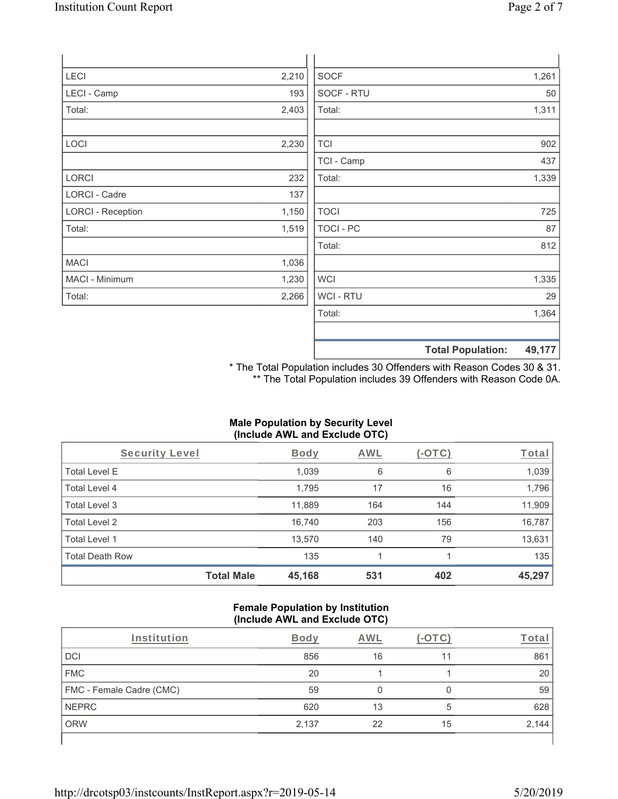| <b>LECI</b>              | 2,210 | <b>SOCF</b>      |                          | 1,261  |
|--------------------------|-------|------------------|--------------------------|--------|
| LECI - Camp              | 193   | SOCF - RTU       |                          | 50     |
| Total:                   | 2,403 | Total:           |                          | 1,311  |
|                          |       |                  |                          |        |
| <b>LOCI</b>              | 2,230 | <b>TCI</b>       |                          | 902    |
|                          |       | TCI - Camp       |                          | 437    |
| <b>LORCI</b>             | 232   | Total:           |                          | 1,339  |
| LORCI - Cadre            | 137   |                  |                          |        |
| <b>LORCI - Reception</b> | 1,150 | <b>TOCI</b>      |                          | 725    |
| Total:                   | 1,519 | <b>TOCI - PC</b> |                          | 87     |
|                          |       | Total:           |                          | 812    |
| <b>MACI</b>              | 1,036 |                  |                          |        |
| MACI - Minimum           | 1,230 | <b>WCI</b>       |                          | 1,335  |
| Total:                   | 2,266 | WCI - RTU        |                          | 29     |
|                          |       | Total:           |                          | 1,364  |
|                          |       |                  |                          |        |
|                          |       |                  | <b>Total Population:</b> | 49,177 |

\* The Total Population includes 30 Offenders with Reason Codes 30 & 31. \*\* The Total Population includes 39 Offenders with Reason Code 0A.

# **Male Population by Security Level (Include AWL and Exclude OTC)**

| Security Level         |                   | <b>Body</b> | AWL | (-OTC) | Total  |
|------------------------|-------------------|-------------|-----|--------|--------|
| <b>Total Level E</b>   |                   | 1,039       | 6   | 6      | 1,039  |
| Total Level 4          |                   | 1,795       | 17  | 16     | 1,796  |
| Total Level 3          |                   | 11,889      | 164 | 144    | 11,909 |
| Total Level 2          |                   | 16,740      | 203 | 156    | 16,787 |
| Total Level 1          |                   | 13,570      | 140 | 79     | 13,631 |
| <b>Total Death Row</b> |                   | 135         |     |        | 135    |
|                        | <b>Total Male</b> | 45,168      | 531 | 402    | 45,297 |

#### **Female Population by Institution (Include AWL and Exclude OTC)**

| Institution              | Bodv  | AWL |    | ⊺ota  |
|--------------------------|-------|-----|----|-------|
| <b>DCI</b>               | 856   | 16  | 11 | 861   |
| <b>FMC</b>               | 20    |     |    | 20    |
| FMC - Female Cadre (CMC) | 59    |     |    | 59    |
| <b>NEPRC</b>             | 620   | 13  | 5  | 628   |
| <b>ORW</b>               | 2,137 | 22  | 15 | 2,144 |
|                          |       |     |    |       |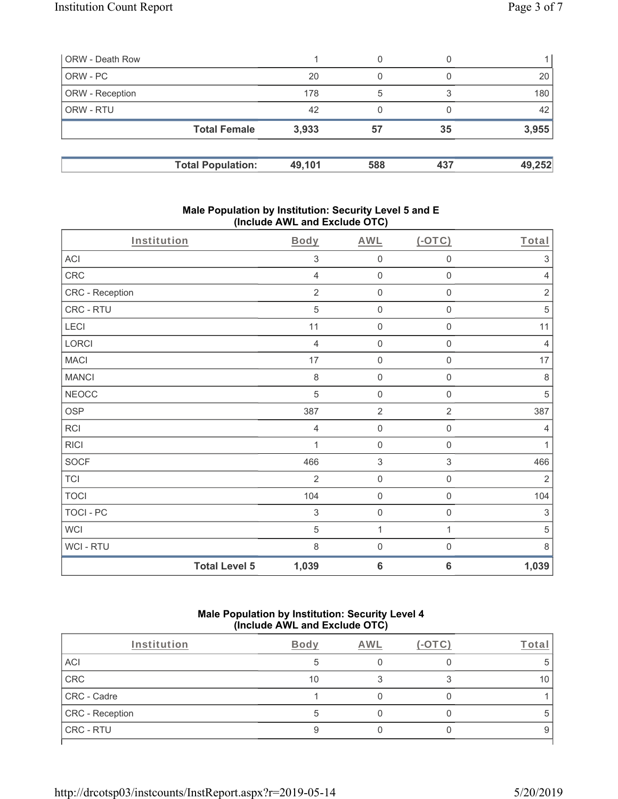| ORW - Death Row        |                          |        | 0   | $\left( \right)$ |        |
|------------------------|--------------------------|--------|-----|------------------|--------|
| ORW - PC               |                          | 20     | 0   |                  | 20     |
| <b>ORW</b> - Reception |                          | 178    | 5   |                  | 180    |
| <b>ORW - RTU</b>       |                          | 42     | 0   |                  | 42     |
|                        | <b>Total Female</b>      | 3,933  | 57  | 35               | 3,955  |
|                        |                          |        |     |                  |        |
|                        | <b>Total Population:</b> | 49,101 | 588 | 437              | 49,252 |

# **Male Population by Institution: Security Level 5 and E (Include AWL and Exclude OTC)**

| Institution          | <b>Body</b>               | <b>AWL</b>                | (OTC)               | Total                     |
|----------------------|---------------------------|---------------------------|---------------------|---------------------------|
| ACI                  | 3                         | $\mathbf 0$               | 0                   | 3                         |
| CRC                  | $\overline{4}$            | $\mathsf{O}\xspace$       | $\mathsf{O}\xspace$ | 4                         |
| CRC - Reception      | $\sqrt{2}$                | $\mathbf 0$               | $\mathsf{O}\xspace$ | $\sqrt{2}$                |
| CRC - RTU            | 5                         | $\mathbf 0$               | 0                   | $\,$ 5 $\,$               |
| LECI                 | 11                        | $\mathbf 0$               | 0                   | 11                        |
| LORCI                | $\overline{4}$            | $\mathbf 0$               | $\mathsf{O}\xspace$ | $\overline{4}$            |
| <b>MACI</b>          | 17                        | $\mathbf 0$               | $\mathsf{O}\xspace$ | 17                        |
| <b>MANCI</b>         | $\,8\,$                   | $\mathbf 0$               | $\mathsf{O}\xspace$ | 8                         |
| <b>NEOCC</b>         | $\sqrt{5}$                | $\mathbf 0$               | $\mathsf{O}\xspace$ | $\sqrt{5}$                |
| <b>OSP</b>           | 387                       | $\sqrt{2}$                | $\overline{2}$      | 387                       |
| RCI                  | 4                         | $\mathbf 0$               | 0                   | 4                         |
| <b>RICI</b>          | 1                         | $\mathbf 0$               | $\mathbf 0$         | $\mathbf{1}$              |
| <b>SOCF</b>          | 466                       | $\ensuremath{\mathsf{3}}$ | 3                   | 466                       |
| <b>TCI</b>           | $\overline{2}$            | $\mathsf 0$               | $\mathsf{O}\xspace$ | $\overline{2}$            |
| <b>TOCI</b>          | 104                       | $\mathbf 0$               | $\mathsf{O}\xspace$ | 104                       |
| TOCI - PC            | $\ensuremath{\mathsf{3}}$ | $\mathbf 0$               | $\mathsf 0$         | $\ensuremath{\mathsf{3}}$ |
| <b>WCI</b>           | 5                         | $\mathbf{1}$              | 1                   | 5                         |
| WCI - RTU            | $\,8\,$                   | $\mathbf 0$               | $\mathsf 0$         | 8                         |
| <b>Total Level 5</b> | 1,039                     | $\bf 6$                   | 6                   | 1,039                     |

# **Male Population by Institution: Security Level 4 (Include AWL and Exclude OTC)**

| Institution     | Body | AWL | -ota |
|-----------------|------|-----|------|
| ACI             |      |     |      |
| CRC             | 10   |     |      |
| CRC - Cadre     |      |     |      |
| CRC - Reception |      |     |      |
| CRC - RTU       |      |     |      |
|                 |      |     |      |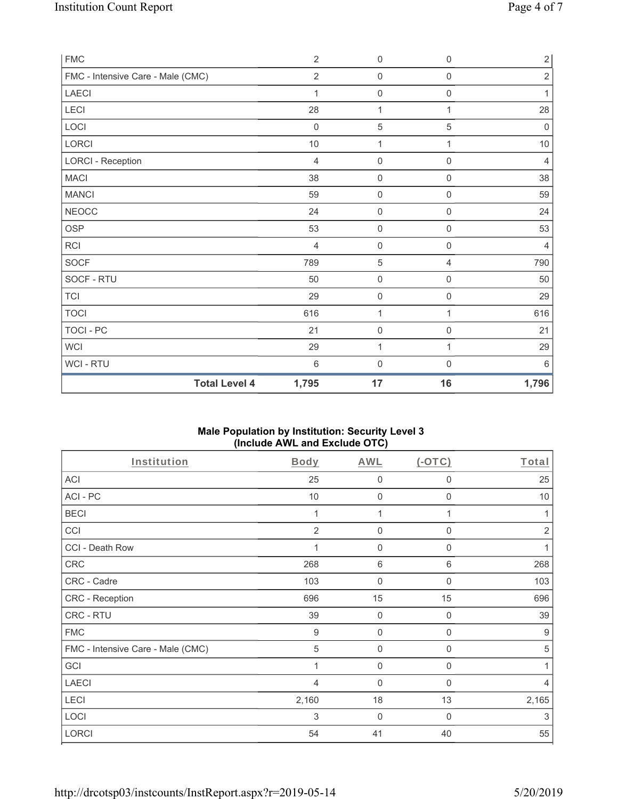| <b>FMC</b>                        | 2              | $\mathbf 0$         | $\boldsymbol{0}$    | $\sqrt{2}$     |
|-----------------------------------|----------------|---------------------|---------------------|----------------|
| FMC - Intensive Care - Male (CMC) | $\overline{2}$ | $\mathbf 0$         | $\mathbf 0$         | $\sqrt{2}$     |
| LAECI                             | 1              | $\mathbf 0$         | $\mathbf 0$         | 1              |
| LECI                              | 28             | 1                   | 1                   | 28             |
| LOCI                              | $\mathbf 0$    | 5                   | $\sqrt{5}$          | $\mathbf 0$    |
| LORCI                             | $10$           | 1                   | 1                   | $10$           |
| <b>LORCI - Reception</b>          | 4              | $\mathsf{O}\xspace$ | $\mathsf 0$         | $\overline{4}$ |
| <b>MACI</b>                       | 38             | $\mathbf 0$         | $\boldsymbol{0}$    | 38             |
| <b>MANCI</b>                      | 59             | $\mathbf 0$         | $\mathsf{O}\xspace$ | 59             |
| <b>NEOCC</b>                      | 24             | $\mathbf 0$         | $\mathsf{O}\xspace$ | 24             |
| <b>OSP</b>                        | 53             | $\mathbf 0$         | $\mathbf 0$         | 53             |
| <b>RCI</b>                        | 4              | $\mathbf 0$         | $\mathsf{O}\xspace$ | $\overline{4}$ |
| <b>SOCF</b>                       | 789            | 5                   | $\overline{4}$      | 790            |
| SOCF - RTU                        | 50             | $\mathsf 0$         | $\boldsymbol{0}$    | 50             |
| <b>TCI</b>                        | 29             | $\mathbf 0$         | $\boldsymbol{0}$    | 29             |
| <b>TOCI</b>                       | 616            | 1                   | 1                   | 616            |
| TOCI - PC                         | 21             | $\mathbf 0$         | $\mathbf 0$         | 21             |
| <b>WCI</b>                        | 29             | 1                   | 1                   | 29             |
| <b>WCI-RTU</b>                    | $6\,$          | $\mathbf 0$         | $\mathsf{O}\xspace$ | 6              |
| <b>Total Level 4</b>              | 1,795          | 17                  | 16                  | 1,796          |

# **Male Population by Institution: Security Level 3 (Include AWL and Exclude OTC)**

| Institution                       | <b>Body</b>    | <b>AWL</b>   | $(-OTC)$     | Total          |
|-----------------------------------|----------------|--------------|--------------|----------------|
| <b>ACI</b>                        | 25             | $\mathbf 0$  | 0            | 25             |
| ACI-PC                            | 10             | $\mathbf 0$  | $\mathbf 0$  | $10$           |
| <b>BECI</b>                       |                | 1            |              |                |
| CCI                               | 2              | $\mathbf 0$  | 0            | $\overline{2}$ |
| CCI - Death Row                   | 1              | $\mathbf{0}$ | 0            | 1              |
| CRC                               | 268            | $\,6\,$      | 6            | 268            |
| CRC - Cadre                       | 103            | 0            | 0            | 103            |
| CRC - Reception                   | 696            | 15           | 15           | 696            |
| CRC - RTU                         | 39             | $\mathbf 0$  | $\mathbf 0$  | 39             |
| <b>FMC</b>                        | 9              | $\mathbf 0$  | $\mathbf 0$  | 9              |
| FMC - Intensive Care - Male (CMC) | 5              | $\mathbf{0}$ | $\mathbf{0}$ | 5              |
| GCI                               |                | $\mathbf 0$  | 0            |                |
| <b>LAECI</b>                      | $\overline{4}$ | $\mathbf 0$  | 0            | 4              |
| LECI                              | 2,160          | 18           | 13           | 2,165          |
| LOCI                              | 3              | $\mathbf 0$  | $\Omega$     | 3              |
| <b>LORCI</b>                      | 54             | 41           | 40           | 55             |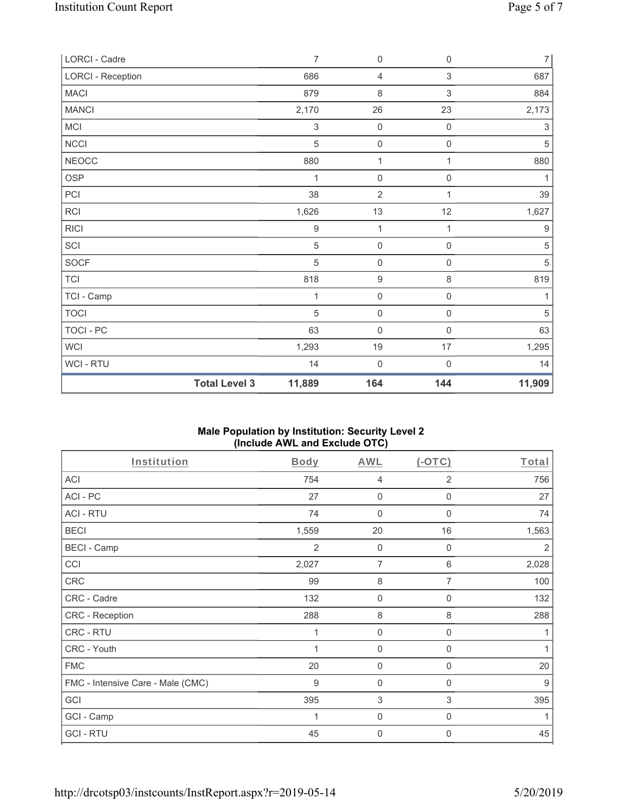| LORCI - Cadre            |                      | $\overline{7}$ | $\mathsf 0$         | $\boldsymbol{0}$    | $\overline{7}$            |
|--------------------------|----------------------|----------------|---------------------|---------------------|---------------------------|
| <b>LORCI - Reception</b> |                      | 686            | $\overline{4}$      | 3                   | 687                       |
| <b>MACI</b>              |                      | 879            | $\,8\,$             | $\mathsf 3$         | 884                       |
| <b>MANCI</b>             |                      | 2,170          | 26                  | 23                  | 2,173                     |
| MCI                      |                      | 3              | $\mathsf{O}\xspace$ | $\mathsf{O}\xspace$ | $\ensuremath{\mathsf{3}}$ |
| <b>NCCI</b>              |                      | 5              | $\mathbf 0$         | $\mathsf{O}\xspace$ | 5                         |
| <b>NEOCC</b>             |                      | 880            | 1                   | 1                   | 880                       |
| <b>OSP</b>               |                      | 1              | $\mathsf{O}\xspace$ | $\mathsf{O}\xspace$ | 1                         |
| PCI                      |                      | 38             | $\overline{2}$      | 1                   | 39                        |
| <b>RCI</b>               |                      | 1,626          | 13                  | 12                  | 1,627                     |
| <b>RICI</b>              |                      | 9              | 1                   | 1                   | $\boldsymbol{9}$          |
| SCI                      |                      | 5              | $\mathsf{O}\xspace$ | $\mathsf{O}\xspace$ | 5                         |
| <b>SOCF</b>              |                      | 5              | $\mathsf{O}\xspace$ | $\mathsf{O}\xspace$ | $\mathbf 5$               |
| <b>TCI</b>               |                      | 818            | $\boldsymbol{9}$    | 8                   | 819                       |
| TCI - Camp               |                      | 1              | $\mathsf{O}\xspace$ | $\mathsf{O}\xspace$ | 1                         |
| <b>TOCI</b>              |                      | 5              | $\mathsf 0$         | $\mathbf 0$         | $\overline{5}$            |
| <b>TOCI - PC</b>         |                      | 63             | $\mathbf 0$         | $\mathbf 0$         | 63                        |
| <b>WCI</b>               |                      | 1,293          | 19                  | 17                  | 1,295                     |
| WCI - RTU                |                      | 14             | $\mathsf{O}\xspace$ | 0                   | 14                        |
|                          | <b>Total Level 3</b> | 11,889         | 164                 | 144                 | 11,909                    |

# **Male Population by Institution: Security Level 2 (Include AWL and Exclude OTC)**

| Institution                       | <b>Body</b> | <b>AWL</b>          | $(-OTC)$       | Total |
|-----------------------------------|-------------|---------------------|----------------|-------|
| ACI                               | 754         | 4                   | $\overline{2}$ | 756   |
| ACI-PC                            | 27          | $\mathbf 0$         | 0              | 27    |
| <b>ACI - RTU</b>                  | 74          | $\mathbf 0$         | $\mathbf 0$    | 74    |
| <b>BECI</b>                       | 1,559       | 20                  | 16             | 1,563 |
| <b>BECI - Camp</b>                | 2           | $\mathbf 0$         | 0              | 2     |
| CCI                               | 2,027       | 7                   | 6              | 2,028 |
| CRC                               | 99          | 8                   | 7              | 100   |
| CRC - Cadre                       | 132         | $\mathsf{O}\xspace$ | $\mathbf 0$    | 132   |
| CRC - Reception                   | 288         | 8                   | 8              | 288   |
| CRC - RTU                         | 1           | $\mathbf 0$         | 0              |       |
| CRC - Youth                       |             | $\mathbf 0$         | 0              | 1     |
| <b>FMC</b>                        | 20          | $\mathbf 0$         | 0              | 20    |
| FMC - Intensive Care - Male (CMC) | $9\,$       | $\mathbf 0$         | $\mathbf 0$    | 9     |
| GCI                               | 395         | 3                   | 3              | 395   |
| GCI - Camp                        |             | $\mathbf 0$         | 0              |       |
| <b>GCI-RTU</b>                    | 45          | $\boldsymbol{0}$    | 0              | 45    |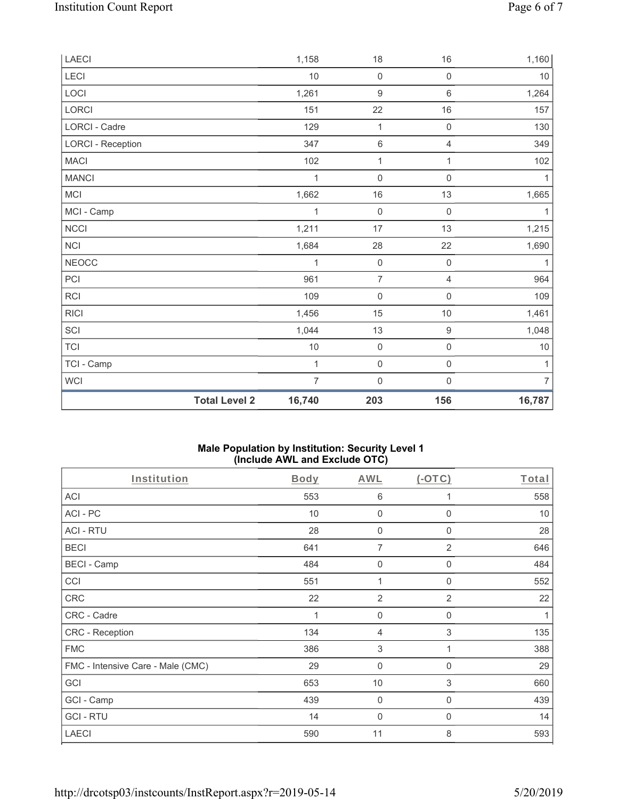| <b>Total Level 2</b>     | 16,740         | 203                 | 156                 | 16,787         |
|--------------------------|----------------|---------------------|---------------------|----------------|
| WCI                      | $\overline{7}$ | $\mathsf{O}\xspace$ | $\mathbf 0$         | $\overline{7}$ |
| TCI - Camp               | 1              | $\mathsf{O}\xspace$ | $\mathsf{O}\xspace$ | 1              |
| <b>TCI</b>               | $10$           | $\mathsf{O}\xspace$ | $\mathsf{O}\xspace$ | 10             |
| SCI                      | 1,044          | 13                  | $\boldsymbol{9}$    | 1,048          |
| <b>RICI</b>              | 1,456          | 15                  | $10$                | 1,461          |
| RCI                      | 109            | $\mathsf{O}\xspace$ | 0                   | 109            |
| PCI                      | 961            | $\overline{7}$      | $\overline{4}$      | 964            |
| <b>NEOCC</b>             | 1              | $\mathsf{O}\xspace$ | $\mathbf 0$         | 1              |
| <b>NCI</b>               | 1,684          | 28                  | 22                  | 1,690          |
| NCCI                     | 1,211          | 17                  | 13                  | 1,215          |
| MCI - Camp               | 1              | $\mathsf{O}\xspace$ | $\mathsf{O}\xspace$ | $\mathbf{1}$   |
| MCI                      | 1,662          | 16                  | 13                  | 1,665          |
| <b>MANCI</b>             | 1              | $\mathbf 0$         | $\mathsf{O}\xspace$ | 1              |
| <b>MACI</b>              | 102            | 1                   | 1                   | 102            |
| <b>LORCI - Reception</b> | 347            | $\,6\,$             | $\overline{4}$      | 349            |
| LORCI - Cadre            | 129            | $\mathbf{1}$        | $\mathsf{O}\xspace$ | 130            |
| LORCI                    | 151            | 22                  | $16\,$              | 157            |
| LOCI                     | 1,261          | $\boldsymbol{9}$    | $\,6\,$             | 1,264          |
| LECI                     | 10             | $\mathsf{O}\xspace$ | 0                   | $10$           |
| LAECI                    | 1,158          | 18                  | 16                  | 1,160          |

# **Male Population by Institution: Security Level 1 (Include AWL and Exclude OTC)**

| Institution                       | <b>Body</b> | <b>AWL</b>                | (OTC)          | Total |
|-----------------------------------|-------------|---------------------------|----------------|-------|
| <b>ACI</b>                        | 553         | 6                         | 1              | 558   |
| ACI-PC                            | 10          | 0                         | $\Omega$       | 10    |
| <b>ACI - RTU</b>                  | 28          | 0                         | 0              | 28    |
| <b>BECI</b>                       | 641         | $\overline{7}$            | $\overline{2}$ | 646   |
| <b>BECI - Camp</b>                | 484         | 0                         | $\Omega$       | 484   |
| CCI                               | 551         | 1                         | 0              | 552   |
| <b>CRC</b>                        | 22          | $\overline{2}$            | $\overline{2}$ | 22    |
| CRC - Cadre                       | 1           | $\mathbf 0$               | $\mathbf 0$    | 1     |
| CRC - Reception                   | 134         | 4                         | 3              | 135   |
| <b>FMC</b>                        | 386         | $\ensuremath{\mathsf{3}}$ | 1              | 388   |
| FMC - Intensive Care - Male (CMC) | 29          | 0                         | 0              | 29    |
| GCI                               | 653         | 10                        | 3              | 660   |
| GCI - Camp                        | 439         | $\mathbf 0$               | $\mathbf 0$    | 439   |
| <b>GCI-RTU</b>                    | 14          | 0                         | $\mathbf{0}$   | 14    |
| <b>LAECI</b>                      | 590         | 11                        | 8              | 593   |